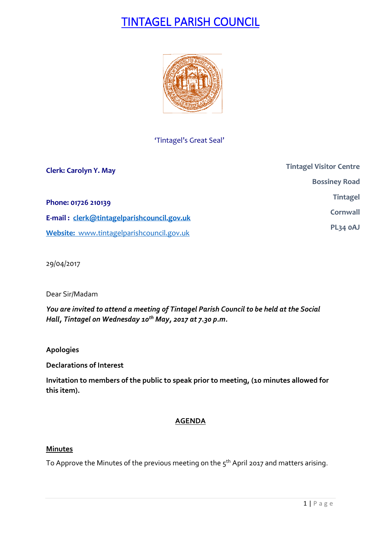# TINTAGEL PARISH COUNCIL



## 'Tintagel's Great Seal'

| <b>Clerk: Carolyn Y. May</b>               | <b>Tintagel Visitor Centre</b> |
|--------------------------------------------|--------------------------------|
|                                            | <b>Bossiney Road</b>           |
| Phone: 01726 210139                        | <b>Tintagel</b>                |
| E-mail: clerk@tintagelparishcouncil.gov.uk | Cornwall                       |
| Website: www.tintagelparishcouncil.gov.uk  | PL34 OAJ                       |

29/04/2017

Dear Sir/Madam

*You are invited to attend a meeting of Tintagel Parish Council to be held at the Social Hall, Tintagel on Wednesday 10th May, 2017 at 7.30 p.m.* 

**Apologies**

**Declarations of Interest**

**Invitation to members of the public to speak prior to meeting, (10 minutes allowed for this item).**

### **AGENDA**

### **Minutes**

To Approve the Minutes of the previous meeting on the  $5^{\text{th}}$  April 2017 and matters arising.